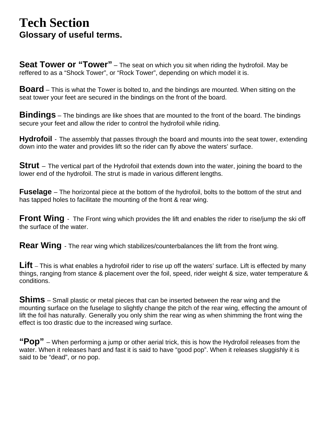## **Tech Section**

**Glossary of useful terms.**<br>Seat Tower or "Tower" – The seat on which you sit when riding the hydrofoil. May be reffered to as a "Shock Tower", or "Rock Tower", depending on which model it is.

**Board** – This is what the Tower is bolted to, and the bindings are mounted. When sitting on the seat tower your feet are secured in the bindings on the front of the board.

**Bindings** – The bindings are like shoes that are mounted to the front of the board. The bindings secure your feet and allow the rider to control the hydrofoil while riding.

**Hydrofoil** - The assembly that passes through the board and mounts into the seat tower, extending down into the water and provides lift so the rider can fly above the waters' surface.

**Strut** – The vertical part of the Hydrofoil that extends down into the water, joining the board to the lower end of the hydrofoil. The strut is made in various different lengths.

**Fuselage** – The horizontal piece at the bottom of the hydrofoil, bolts to the bottom of the strut and has tapped holes to facilitate the mounting of the front & rear wing.

**Front Wing** - The Front wing which provides the lift and enables the rider to rise/jump the ski off the surface of the water.

**Rear Wing** - The rear wing which stabilizes/counterbalances the lift from the front wing.

Lift – This is what enables a hydrofoil rider to rise up off the waters' surface. Lift is effected by many things, ranging from stance & placement over the foil, speed, rider weight & size, water temperature & conditions.

**Shims** – Small plastic or metal pieces that can be inserted between the rear wing and the mounting surface on the fuselage to slightly change the pitch of the rear wing, effecting the amount of lift the foil has naturally. Generally you only shim the rear wing as when shimming the front wing the effect is too drastic due to the increased wing surface.

**"Pop"** – When performing a jump or other aerial trick, this is how the Hydrofoil releases from the water. When it releases hard and fast it is said to have "good pop". When it releases sluggishly it is said to be "dead", or no pop.